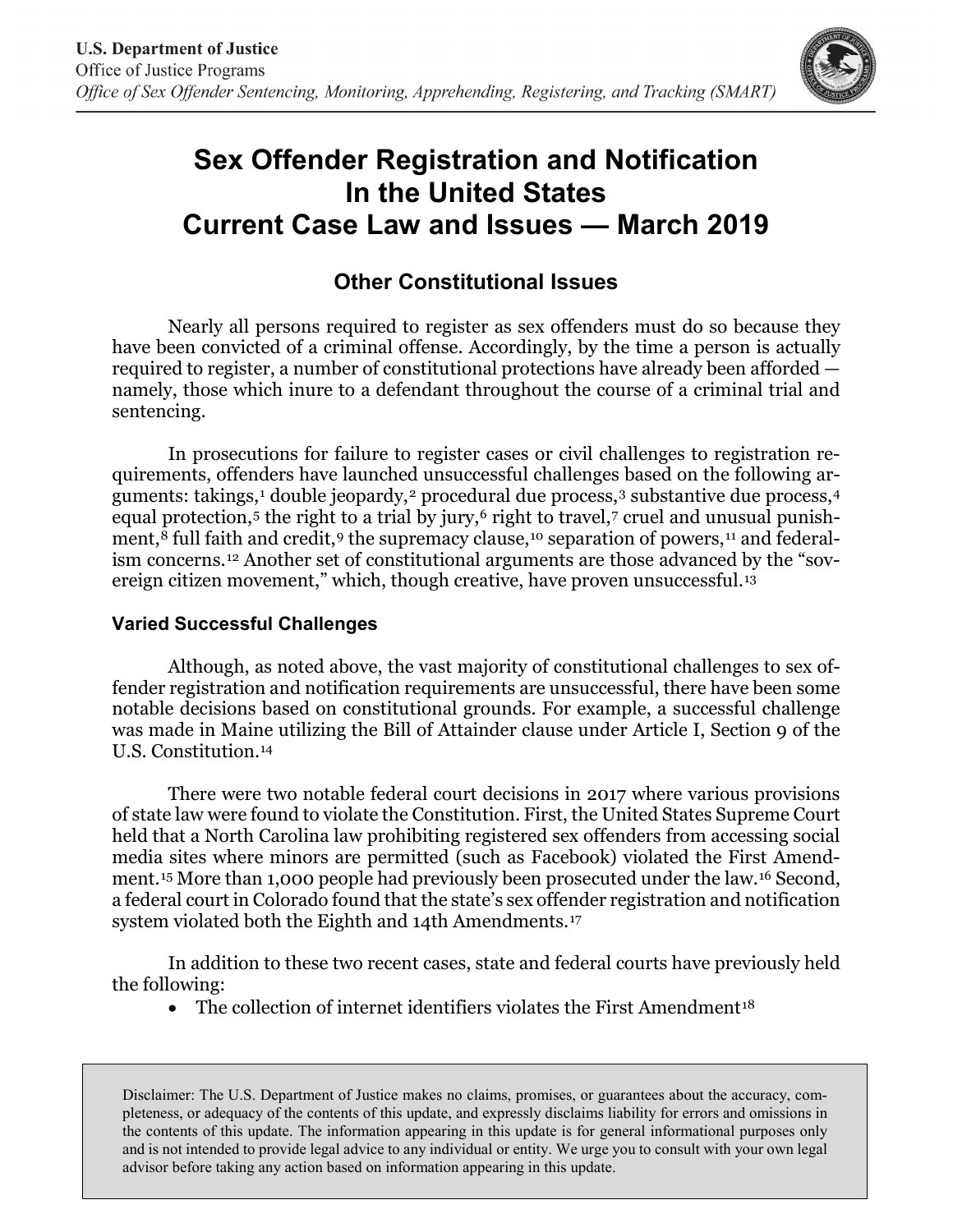

# **Sex Offender Registration and Notification In the United States Current Case Law and Issues — March 2019**

# **Other Constitutional Issues**

Nearly all persons required to register as sex offenders must do so because they have been convicted of a criminal offense. Accordingly, by the time a person is actually required to register, a number of constitutional protections have already been afforded namely, those which inure to a defendant throughout the course of a criminal trial and sentencing.

In prosecutions for failure to register cases or civil challenges to registration requirements, offenders have launched unsuccessful challenges based on the following ar-guments: takings,<sup>[1](#page-2-0)</sup> double jeopardy,<sup>[2](#page-2-1)</sup> procedural due process,<sup>[3](#page-2-2)</sup> substantive due process,<sup>[4](#page-2-3)</sup> equal protection, $5$  the right to a trial by jury, $6$  right to travel, $7$  cruel and unusual punish-ment,<sup>[8](#page-3-3)</sup> full faith and credit,<sup>[9](#page-3-4)</sup> the supremacy clause,<sup>[10](#page-3-5)</sup> separation of powers,<sup>[11](#page-3-6)</sup> and federalism concerns.[12](#page-3-7) Another set of constitutional arguments are those advanced by the "sov-ereign citizen movement," which, though creative, have proven unsuccessful.<sup>[13](#page-3-8)</sup>

## **Varied Successful Challenges**

Although, as noted above, the vast majority of constitutional challenges to sex offender registration and notification requirements are unsuccessful, there have been some notable decisions based on constitutional grounds. For example, a successful challenge was made in Maine utilizing the Bill of Attainder clause under Article I, Section 9 of the U.S. Constitution.[14](#page-3-9)

There were two notable federal court decisions in 2017 where various provisions of state law were found to violate the Constitution. First, the United States Supreme Court held that a North Carolina law prohibiting registered sex offenders from accessing social media sites where minors are permitted (such as Facebook) violated the First Amendment.[15](#page-3-10) More than 1,000 people had previously been prosecuted under the law.[16](#page-3-11) Second, a federal court in Colorado found that the state's sex offender registration and notification system violated both the Eighth and 14th Amendments.[17](#page-3-12)

In addition to these two recent cases, state and federal courts have previously held the following:

• The collection of internet identifiers violates the First Amendment<sup>[18](#page-3-13)</sup>

Disclaimer: The U.S. Department of Justice makes no claims, promises, or guarantees about the accuracy, completeness, or adequacy of the contents of this update, and expressly disclaims liability for errors and omissions in the contents of this update. The information appearing in this update is for general informational purposes only and is not intended to provide legal advice to any individual or entity. We urge you to consult with your own legal advisor before taking any action based on information appearing in this update.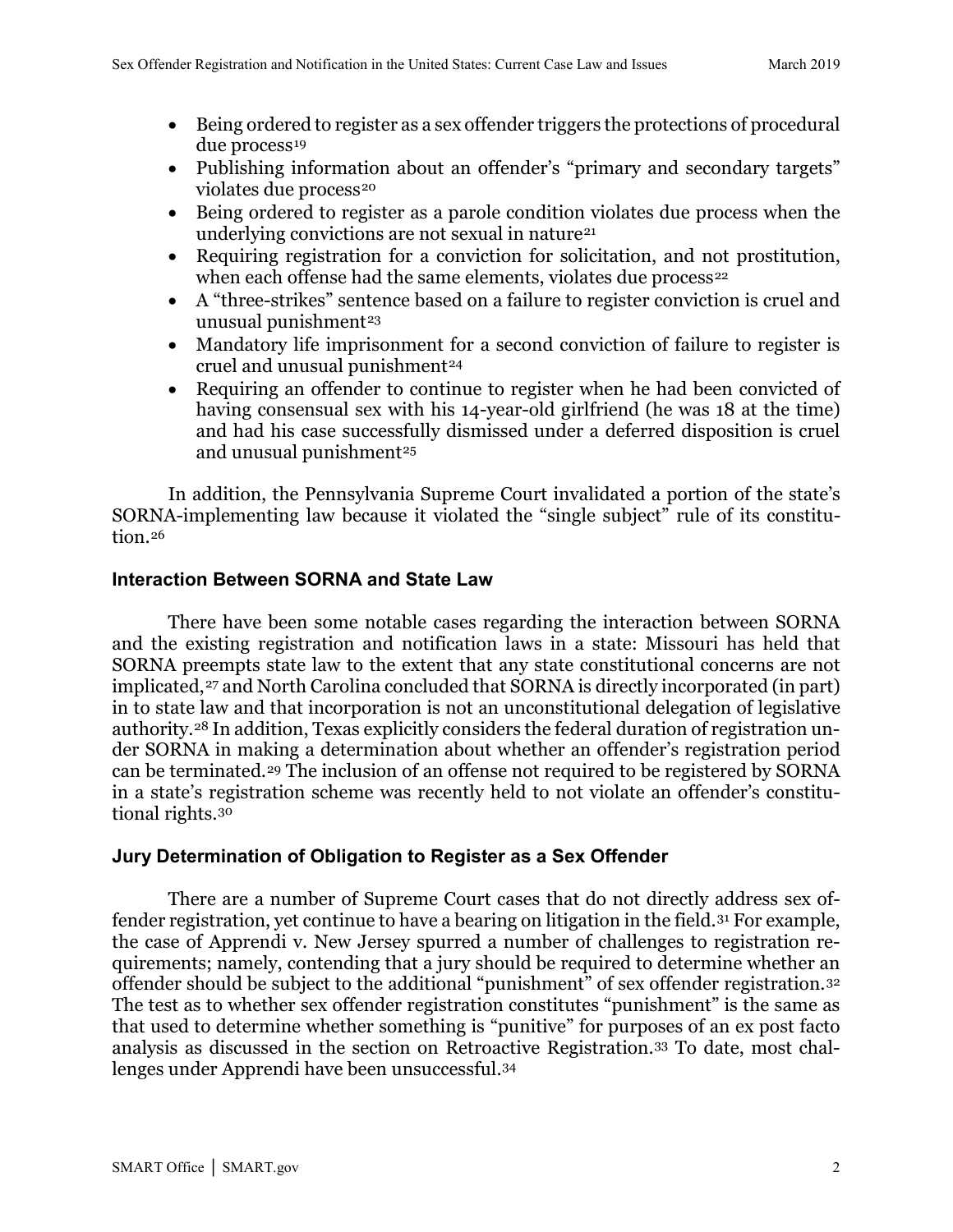- Being ordered to register as a sex offender triggers the protections of procedural due process<sup>[19](#page-4-0)</sup>
- Publishing information about an offender's "primary and secondary targets" violates due process<sup>[20](#page-4-1)</sup>
- Being ordered to register as a parole condition violates due process when the underlying convictions are not sexual in nature<sup>[21](#page-4-2)</sup>
- Requiring registration for a conviction for solicitation, and not prostitution, when each offense had the same elements, violates due process<sup>[22](#page-4-3)</sup>
- A "three-strikes" sentence based on a failure to register conviction is cruel and unusual punishment<sup>[23](#page-4-4)</sup>
- Mandatory life imprisonment for a second conviction of failure to register is cruel and unusual punishment<sup>[24](#page-4-5)</sup>
- Requiring an offender to continue to register when he had been convicted of having consensual sex with his 14-year-old girlfriend (he was 18 at the time) and had his case successfully dismissed under a deferred disposition is cruel and unusual punishment<sup>[25](#page-4-6)</sup>

In addition, the Pennsylvania Supreme Court invalidated a portion of the state's SORNA-implementing law because it violated the "single subject" rule of its constitution.[26](#page-4-7)

### **Interaction Between SORNA and State Law**

There have been some notable cases regarding the interaction between SORNA and the existing registration and notification laws in a state: Missouri has held that SORNA preempts state law to the extent that any state constitutional concerns are not implicated,<sup>[27](#page-4-8)</sup> and North Carolina concluded that SORNA is directly incorporated (in part) in to state law and that incorporation is not an unconstitutional delegation of legislative authority.[28](#page-4-9) In addition, Texas explicitly considers the federal duration of registration under SORNA in making a determination about whether an offender's registration period can be terminated.[29](#page-4-10) The inclusion of an offense not required to be registered by SORNA in a state's registration scheme was recently held to not violate an offender's constitutional rights.[30](#page-4-11)

### **Jury Determination of Obligation to Register as a Sex Offender**

There are a number of Supreme Court cases that do not directly address sex offender registration, yet continue to have a bearing on litigation in the field.[31](#page-4-12) For example, the case of Apprendi v. New Jersey spurred a number of challenges to registration requirements; namely, contending that a jury should be required to determine whether an offender should be subject to the additional "punishment" of sex offender registration.[32](#page-4-13) The test as to whether sex offender registration constitutes "punishment" is the same as that used to determine whether something is "punitive" for purposes of an ex post facto analysis as discussed in the section on Retroactive Registration.[33](#page-4-14) To date, most challenges under Apprendi have been unsuccessful.[34](#page-4-15)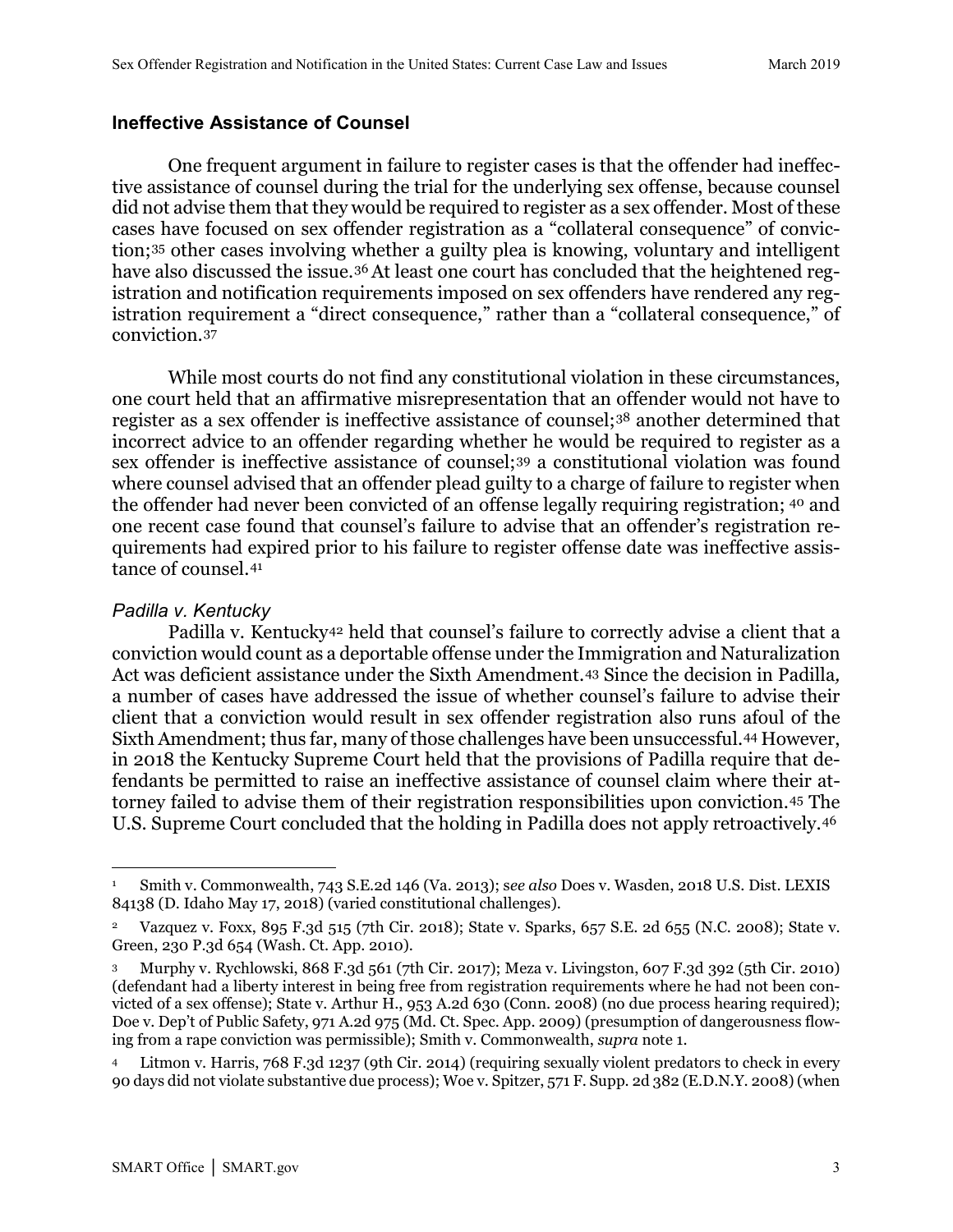#### **Ineffective Assistance of Counsel**

One frequent argument in failure to register cases is that the offender had ineffective assistance of counsel during the trial for the underlying sex offense, because counsel did not advise them that they would be required to register as a sex offender. Most of these cases have focused on sex offender registration as a "collateral consequence" of conviction;[35](#page-4-16) other cases involving whether a guilty plea is knowing, voluntary and intelligent have also discussed the issue.<sup>[36](#page-4-17)</sup> At least one court has concluded that the heightened registration and notification requirements imposed on sex offenders have rendered any registration requirement a "direct consequence," rather than a "collateral consequence," of conviction.[37](#page-5-0)

While most courts do not find any constitutional violation in these circumstances, one court held that an affirmative misrepresentation that an offender would not have to register as a sex offender is ineffective assistance of counsel;[38](#page-5-1) another determined that incorrect advice to an offender regarding whether he would be required to register as a sex offender is ineffective assistance of counsel;[39](#page-5-2) a constitutional violation was found where counsel advised that an offender plead guilty to a charge of failure to register when the offender had never been convicted of an offense legally requiring registration; [40](#page-5-3) and one recent case found that counsel's failure to advise that an offender's registration requirements had expired prior to his failure to register offense date was ineffective assistance of counsel.[41](#page-5-4)

#### *Padilla v. Kentucky*

 $\overline{a}$ 

Padilla v. Kentucky<sup>[42](#page-5-5)</sup> held that counsel's failure to correctly advise a client that a conviction would count as a deportable offense under the Immigration and Naturalization Act was deficient assistance under the Sixth Amendment.[43](#page-5-6) Since the decision in Padilla*,* a number of cases have addressed the issue of whether counsel's failure to advise their client that a conviction would result in sex offender registration also runs afoul of the Sixth Amendment; thus far, many of those challenges have been unsuccessful.[44](#page-5-7) However, in 2018 the Kentucky Supreme Court held that the provisions of Padilla require that defendants be permitted to raise an ineffective assistance of counsel claim where their attorney failed to advise them of their registration responsibilities upon conviction.[45](#page-5-8) The U.S. Supreme Court concluded that the holding in Padilla does not apply retroactively.[46](#page-5-9)

<span id="page-2-0"></span><sup>1</sup> Smith v. Commonwealth, 743 S.E.2d 146 (Va. 2013); s*ee also* Does v. Wasden, 2018 U.S. Dist. LEXIS 84138 (D. Idaho May 17, 2018) (varied constitutional challenges).

<span id="page-2-1"></span><sup>2</sup> Vazquez v. Foxx, 895 F.3d 515 (7th Cir. 2018); State v. Sparks, 657 S.E. 2d 655 (N.C. 2008); State v. Green, 230 P.3d 654 (Wash. Ct. App. 2010).

<span id="page-2-2"></span><sup>3</sup> Murphy v. Rychlowski, 868 F.3d 561 (7th Cir. 2017); Meza v. Livingston, 607 F.3d 392 (5th Cir. 2010) (defendant had a liberty interest in being free from registration requirements where he had not been convicted of a sex offense); State v. Arthur H., 953 A.2d 630 (Conn. 2008) (no due process hearing required); Doe v. Dep't of Public Safety, 971 A.2d 975 (Md. Ct. Spec. App. 2009) (presumption of dangerousness flowing from a rape conviction was permissible); Smith v. Commonwealth, *supra* note 1.

<span id="page-2-3"></span><sup>4</sup> Litmon v. Harris, 768 F.3d 1237 (9th Cir. 2014) (requiring sexually violent predators to check in every 90 days did not violate substantive due process); Woe v. Spitzer, 571 F. Supp. 2d 382 (E.D.N.Y. 2008) (when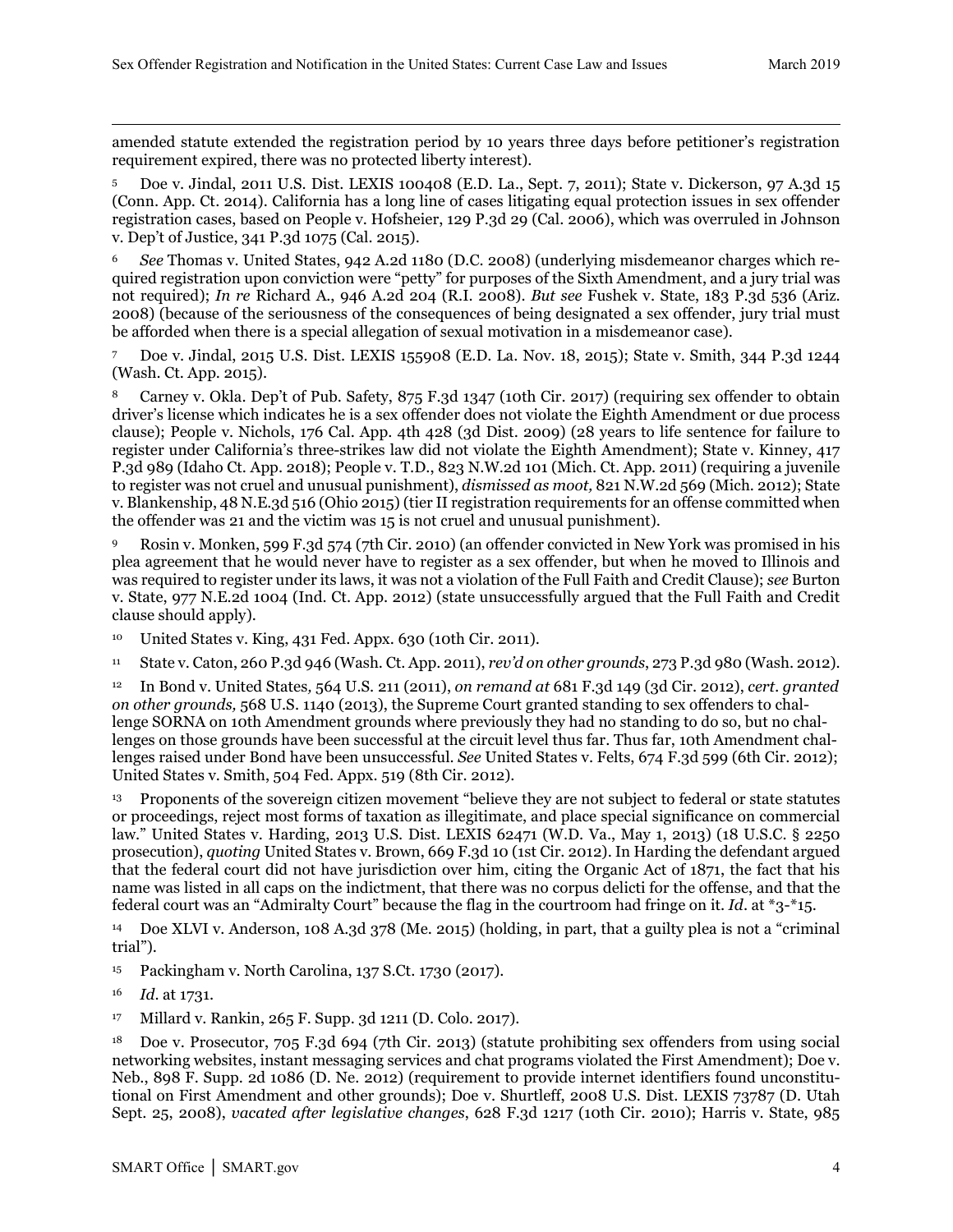$\overline{a}$ amended statute extended the registration period by 10 years three days before petitioner's registration requirement expired, there was no protected liberty interest).

<span id="page-3-0"></span><sup>5</sup> Doe v. Jindal, 2011 U.S. Dist. LEXIS 100408 (E.D. La., Sept. 7, 2011); State v. Dickerson, 97 A.3d 15 (Conn. App. Ct. 2014). California has a long line of cases litigating equal protection issues in sex offender registration cases, based on People v. Hofsheier, 129 P.3d 29 (Cal. 2006), which was overruled in Johnson v. Dep't of Justice, 341 P.3d 1075 (Cal. 2015).

<span id="page-3-1"></span><sup>6</sup> *See* Thomas v. United States, 942 A.2d 1180 (D.C. 2008) (underlying misdemeanor charges which required registration upon conviction were "petty" for purposes of the Sixth Amendment, and a jury trial was not required); *In re* Richard A., 946 A.2d 204 (R.I. 2008). *But see* Fushek v. State, 183 P.3d 536 (Ariz. 2008) (because of the seriousness of the consequences of being designated a sex offender, jury trial must be afforded when there is a special allegation of sexual motivation in a misdemeanor case).

<span id="page-3-2"></span><sup>7</sup> Doe v. Jindal, 2015 U.S. Dist. LEXIS 155908 (E.D. La. Nov. 18, 2015); State v. Smith, 344 P.3d 1244 (Wash. Ct. App. 2015).

<span id="page-3-3"></span>Carney v. Okla. Dep't of Pub. Safety, 875 F.3d 1347 (10th Cir. 2017) (requiring sex offender to obtain driver's license which indicates he is a sex offender does not violate the Eighth Amendment or due process clause); People v. Nichols, 176 Cal. App. 4th 428 (3d Dist. 2009) (28 years to life sentence for failure to register under California's three-strikes law did not violate the Eighth Amendment); State v. Kinney, 417 P.3d 989 (Idaho Ct. App. 2018); People v. T.D., 823 N.W.2d 101 (Mich. Ct. App. 2011) (requiring a juvenile to register was not cruel and unusual punishment), *dismissed as moot,* 821 N.W.2d 569 (Mich. 2012); State v. Blankenship, 48 N.E.3d 516 (Ohio 2015) (tier II registration requirements for an offense committed when the offender was 21 and the victim was 15 is not cruel and unusual punishment).

<span id="page-3-4"></span><sup>9</sup> Rosin v. Monken, 599 F.3d 574 (7th Cir. 2010) (an offender convicted in New York was promised in his plea agreement that he would never have to register as a sex offender, but when he moved to Illinois and was required to register under its laws, it was not a violation of the Full Faith and Credit Clause); *see* Burton v. State, 977 N.E.2d 1004 (Ind. Ct. App. 2012) (state unsuccessfully argued that the Full Faith and Credit clause should apply).

<span id="page-3-5"></span><sup>10</sup> United States v. King, 431 Fed. Appx. 630 (10th Cir. 2011).

<span id="page-3-6"></span><sup>11</sup> State v. Caton, 260 P.3d 946 (Wash. Ct. App. 2011), *rev'd on other grounds*, 273 P.3d 980 (Wash. 2012).

<span id="page-3-7"></span><sup>12</sup> In Bond v. United States*,* 564 U.S. 211 (2011), *on remand at* 681 F.3d 149 (3d Cir. 2012), *cert. granted on other grounds,* 568 U.S. 1140 (2013), the Supreme Court granted standing to sex offenders to challenge SORNA on 10th Amendment grounds where previously they had no standing to do so, but no challenges on those grounds have been successful at the circuit level thus far. Thus far, 10th Amendment challenges raised under Bond have been unsuccessful. *See* United States v. Felts, 674 F.3d 599 (6th Cir. 2012); United States v. Smith, 504 Fed. Appx. 519 (8th Cir. 2012).

<span id="page-3-8"></span><sup>13</sup> Proponents of the sovereign citizen movement "believe they are not subject to federal or state statutes or proceedings, reject most forms of taxation as illegitimate, and place special significance on commercial law." United States v. Harding, 2013 U.S. Dist. LEXIS 62471 (W.D. Va., May 1, 2013) (18 U.S.C. § 2250 prosecution), *quoting* United States v. Brown, 669 F.3d 10 (1st Cir. 2012). In Harding the defendant argued that the federal court did not have jurisdiction over him, citing the Organic Act of 1871, the fact that his name was listed in all caps on the indictment, that there was no corpus delicti for the offense, and that the federal court was an "Admiralty Court" because the flag in the courtroom had fringe on it. *Id*. at \*3-\*15.

<span id="page-3-9"></span><sup>14</sup> Doe XLVI v. Anderson, 108 A.3d 378 (Me. 2015) (holding, in part, that a guilty plea is not a "criminal trial").

<span id="page-3-10"></span><sup>15</sup> Packingham v. North Carolina, 137 S.Ct. 1730 (2017).

<span id="page-3-11"></span><sup>16</sup> *Id*. at 1731.

<span id="page-3-12"></span><sup>17</sup> Millard v. Rankin, 265 F. Supp. 3d 1211 (D. Colo. 2017).

<span id="page-3-13"></span><sup>18</sup> Doe v. Prosecutor, 705 F.3d 694 (7th Cir. 2013) (statute prohibiting sex offenders from using social networking websites, instant messaging services and chat programs violated the First Amendment); Doe v. Neb., 898 F. Supp. 2d 1086 (D. Ne. 2012) (requirement to provide internet identifiers found unconstitutional on First Amendment and other grounds); Doe v. Shurtleff, 2008 U.S. Dist. LEXIS 73787 (D. Utah Sept. 25, 2008), *vacated after legislative changes*, 628 F.3d 1217 (10th Cir. 2010); Harris v. State, 985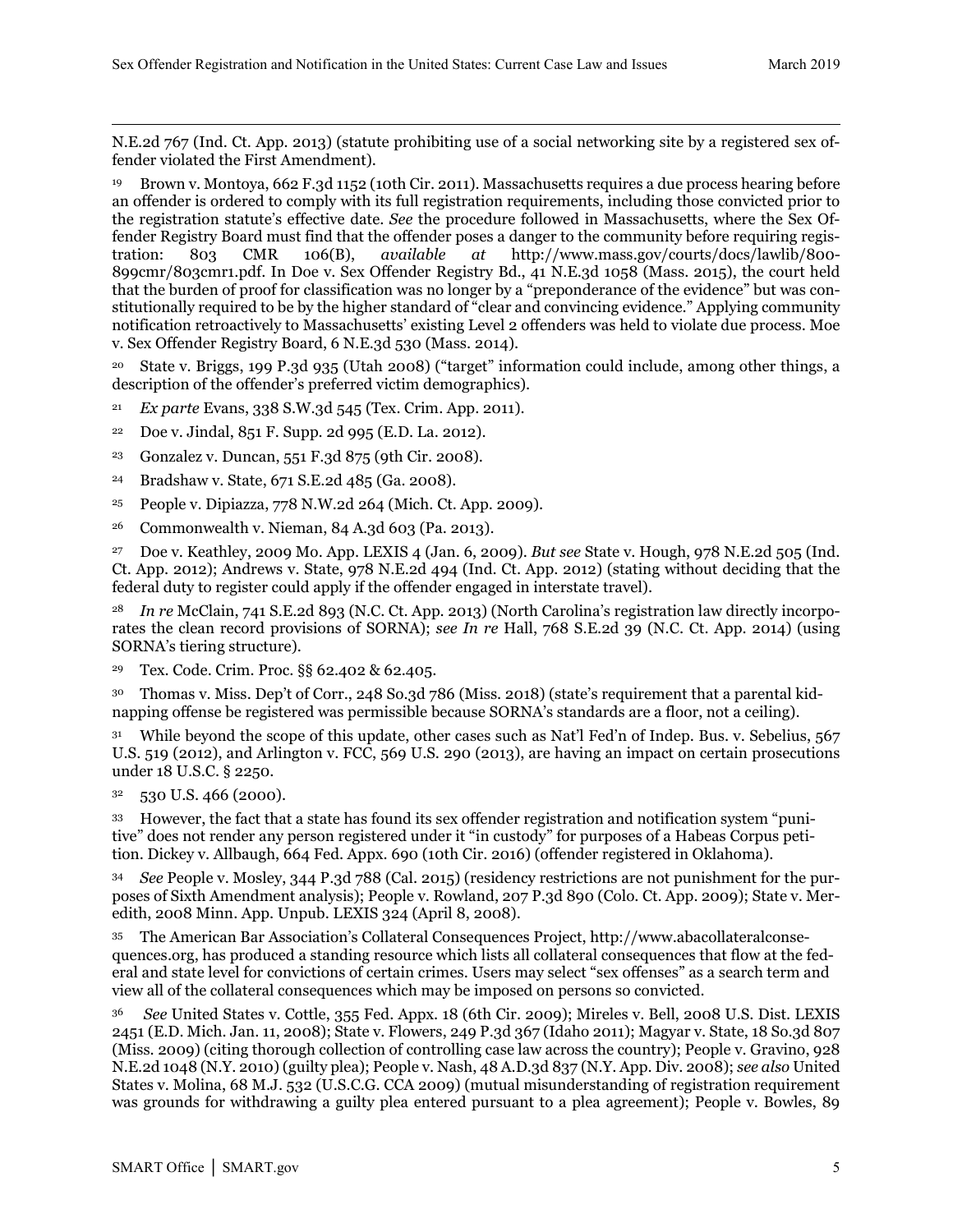$\overline{a}$ N.E.2d 767 (Ind. Ct. App. 2013) (statute prohibiting use of a social networking site by a registered sex offender violated the First Amendment).

<span id="page-4-0"></span><sup>19</sup> Brown v. Montoya, 662 F.3d 1152 (10th Cir. 2011). Massachusetts requires a due process hearing before an offender is ordered to comply with its full registration requirements, including those convicted prior to the registration statute's effective date. *See* the procedure followed in Massachusetts, where the Sex Offender Registry Board must find that the offender poses a danger to the community before requiring registration: 803 CMR 106(B), *available at* http://www.mass.gov/courts/docs/lawlib/800- 899cmr/803cmr1.pdf. In Doe v. Sex Offender Registry Bd., 41 N.E.3d 1058 (Mass. 2015), the court held that the burden of proof for classification was no longer by a "preponderance of the evidence" but was constitutionally required to be by the higher standard of "clear and convincing evidence." Applying community notification retroactively to Massachusetts' existing Level 2 offenders was held to violate due process. Moe v. Sex Offender Registry Board, 6 N.E.3d 530 (Mass. 2014).

<span id="page-4-1"></span><sup>20</sup> State v. Briggs, 199 P.3d 935 (Utah 2008) ("target" information could include, among other things, a description of the offender's preferred victim demographics).

- <span id="page-4-2"></span><sup>21</sup> *Ex parte* Evans, 338 S.W.3d 545 (Tex. Crim. App. 2011).
- <span id="page-4-3"></span><sup>22</sup> Doe v. Jindal, 851 F. Supp. 2d 995 (E.D. La. 2012).
- <span id="page-4-4"></span><sup>23</sup> Gonzalez v. Duncan, 551 F.3d 875 (9th Cir. 2008).
- <span id="page-4-5"></span><sup>24</sup> Bradshaw v. State, 671 S.E.2d 485 (Ga. 2008).
- <span id="page-4-6"></span><sup>25</sup> People v. Dipiazza, 778 N.W.2d 264 (Mich. Ct. App. 2009).
- <span id="page-4-7"></span><sup>26</sup> Commonwealth v. Nieman, 84 A.3d 603 (Pa. 2013).

<span id="page-4-8"></span><sup>27</sup> Doe v. Keathley, 2009 Mo. App. LEXIS 4 (Jan. 6, 2009). *But see* State v. Hough, 978 N.E.2d 505 (Ind. Ct. App. 2012); Andrews v. State, 978 N.E.2d 494 (Ind. Ct. App. 2012) (stating without deciding that the federal duty to register could apply if the offender engaged in interstate travel).

<span id="page-4-9"></span><sup>28</sup> *In re* McClain, 741 S.E.2d 893 (N.C. Ct. App. 2013) (North Carolina's registration law directly incorporates the clean record provisions of SORNA); *see In re* Hall, 768 S.E.2d 39 (N.C. Ct. App. 2014) (using SORNA's tiering structure).

<span id="page-4-10"></span><sup>29</sup> Tex. Code. Crim. Proc. §§ 62.402 & 62.405.

<span id="page-4-11"></span>30 Thomas v. Miss. Dep't of Corr., 248 So.3d 786 (Miss. 2018) (state's requirement that a parental kidnapping offense be registered was permissible because SORNA's standards are a floor, not a ceiling).

<span id="page-4-12"></span>While beyond the scope of this update, other cases such as Nat'l Fed'n of Indep. Bus. v. Sebelius, 567 U.S. 519 (2012), and Arlington v. FCC, 569 U.S. 290 (2013), are having an impact on certain prosecutions under 18 U.S.C. § 2250.

<span id="page-4-13"></span> $32$  530 U.S. 466 (2000).

<span id="page-4-14"></span><sup>33</sup> However, the fact that a state has found its sex offender registration and notification system "punitive" does not render any person registered under it "in custody" for purposes of a Habeas Corpus petition. Dickey v. Allbaugh, 664 Fed. Appx. 690 (10th Cir. 2016) (offender registered in Oklahoma).

<span id="page-4-15"></span><sup>34</sup> *See* People v. Mosley, 344 P.3d 788 (Cal. 2015) (residency restrictions are not punishment for the purposes of Sixth Amendment analysis); People v. Rowland, 207 P.3d 890 (Colo. Ct. App. 2009); State v. Meredith, 2008 Minn. App. Unpub. LEXIS 324 (April 8, 2008).

<span id="page-4-16"></span><sup>35</sup> The American Bar Association's Collateral Consequences Project, http://www.abacollateralconsequences.org, has produced a standing resource which lists all collateral consequences that flow at the federal and state level for convictions of certain crimes. Users may select "sex offenses" as a search term and view all of the collateral consequences which may be imposed on persons so convicted.

<span id="page-4-17"></span><sup>36</sup> *See* United States v. Cottle, 355 Fed. Appx. 18 (6th Cir. 2009); Mireles v. Bell, 2008 U.S. Dist. LEXIS 2451 (E.D. Mich. Jan. 11, 2008); State v. Flowers, 249 P.3d 367 (Idaho 2011); Magyar v. State, 18 So.3d 807 (Miss. 2009) (citing thorough collection of controlling case law across the country); People v. Gravino, 928 N.E.2d 1048 (N.Y. 2010) (guilty plea); People v. Nash, 48 A.D.3d 837 (N.Y. App. Div. 2008); *see also* United States v. Molina, 68 M.J. 532 (U.S.C.G. CCA 2009) (mutual misunderstanding of registration requirement was grounds for withdrawing a guilty plea entered pursuant to a plea agreement); People v. Bowles, 89